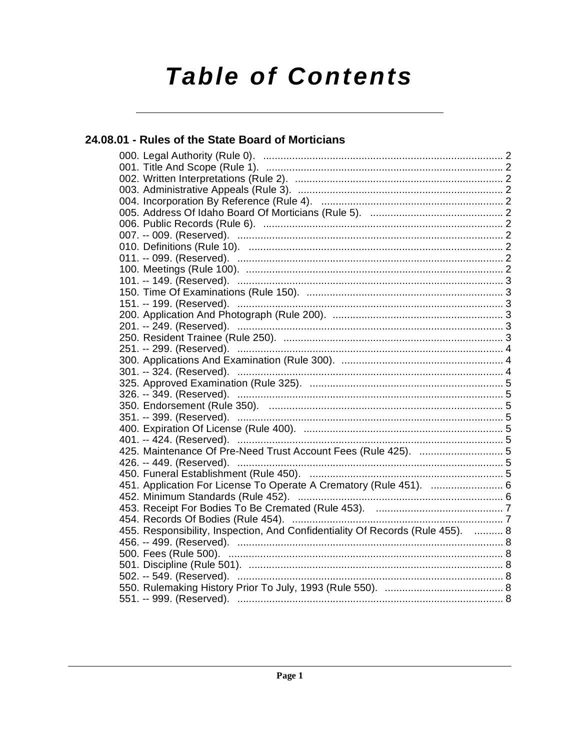# **Table of Contents**

## 24.08.01 - Rules of the State Board of Morticians

| 425. Maintenance Of Pre-Need Trust Account Fees (Rule 425).  5                 |
|--------------------------------------------------------------------------------|
|                                                                                |
|                                                                                |
| 451. Application For License To Operate A Crematory (Rule 451).  6             |
|                                                                                |
|                                                                                |
|                                                                                |
| 455. Responsibility, Inspection, And Confidentiality Of Records (Rule 455).  8 |
|                                                                                |
|                                                                                |
|                                                                                |
|                                                                                |
|                                                                                |
|                                                                                |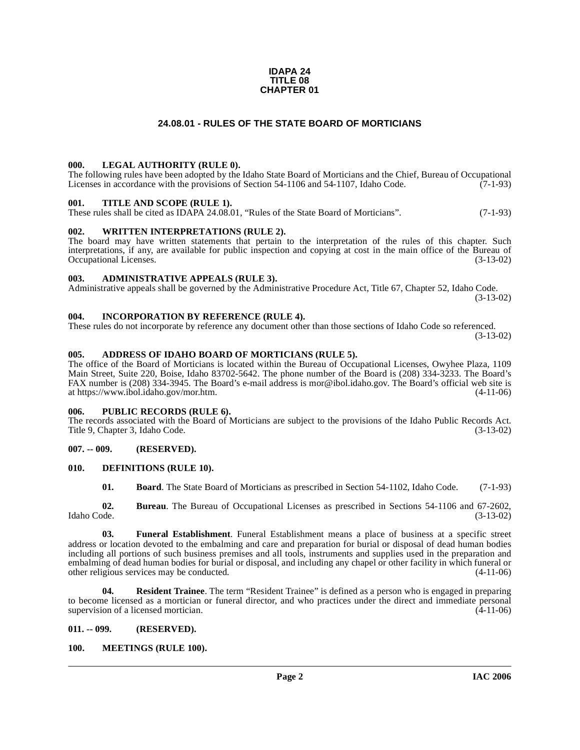#### **IDAPA 24 TITLE 08 CHAPTER 01**

### **24.08.01 - RULES OF THE STATE BOARD OF MORTICIANS**

### <span id="page-1-1"></span><span id="page-1-0"></span>**000. LEGAL AUTHORITY (RULE 0).**

The following rules have been adopted by the Idaho State Board of Morticians and the Chief, Bureau of Occupational Licenses in accordance with the provisions of Section 54-1106 and 54-1107, Idaho Code.  $(7-1-93)$ 

### <span id="page-1-2"></span>**001. TITLE AND SCOPE (RULE 1).**

These rules shall be cited as IDAPA 24.08.01, "Rules of the State Board of Morticians". (7-1-93)

### <span id="page-1-3"></span>**002. WRITTEN INTERPRETATIONS (RULE 2).**

The board may have written statements that pertain to the interpretation of the rules of this chapter. Such interpretations, if any, are available for public inspection and copying at cost in the main office of the Bureau of Occupational Licenses. (3-13-02) Occupational Licenses.

#### <span id="page-1-4"></span>**003. ADMINISTRATIVE APPEALS (RULE 3).**

Administrative appeals shall be governed by the Administrative Procedure Act, Title 67, Chapter 52, Idaho Code. (3-13-02)

#### <span id="page-1-5"></span>**004. INCORPORATION BY REFERENCE (RULE 4).**

These rules do not incorporate by reference any document other than those sections of Idaho Code so referenced. (3-13-02)

### <span id="page-1-6"></span>**005. ADDRESS OF IDAHO BOARD OF MORTICIANS (RULE 5).**

[The office of the Board of Morticians is located within the Bureau of Occupational Licenses, Owyhee Plaza, 1109](mailto:mor@ibol.idaho.gov)  Main Street, Suite 220, Boise, Idaho 83702-5642. The phone number of the Board is (208) 334-3233. The Board's FAX number is (208) 334-3945. The Board's e-mail address is mor@ibol.idaho.gov. The Board's official web site is [at](mailto:mor@ibol.idaho.gov) [https://www.ibol.idaho.gov/mor.htm. \(4-11-06\)](https://www.ibol.idaho.gov/mor.htm)

#### <span id="page-1-7"></span>**006. PUBLIC RECORDS (RULE 6).**

The records associated with the Board of Morticians are subject to the provisions of the Idaho Public Records Act. Title 9, Chapter 3, Idaho Code. (3-13-02)

### <span id="page-1-8"></span>**007. -- 009. (RESERVED).**

### <span id="page-1-9"></span>**010. DEFINITIONS (RULE 10).**

<span id="page-1-12"></span>**01. Board**. The State Board of Morticians as prescribed in Section 54-1102, Idaho Code. (7-1-93)

**02. Bureau**. The Bureau of Occupational Licenses as prescribed in Sections 54-1106 and 67-2602, Idaho Code. (3-13-02)

**03. Funeral Establishment**. Funeral Establishment means a place of business at a specific street address or location devoted to the embalming and care and preparation for burial or disposal of dead human bodies including all portions of such business premises and all tools, instruments and supplies used in the preparation and embalming of dead human bodies for burial or disposal, and including any chapel or other facility in which funeral or other religious services may be conducted. (4-11-06)

**04. Resident Trainee**. The term "Resident Trainee" is defined as a person who is engaged in preparing to become licensed as a mortician or funeral director, and who practices under the direct and immediate personal supervision of a licensed mortician. supervision of a licensed mortician.

#### <span id="page-1-10"></span>**011. -- 099. (RESERVED).**

### <span id="page-1-13"></span><span id="page-1-11"></span>**100. MEETINGS (RULE 100).**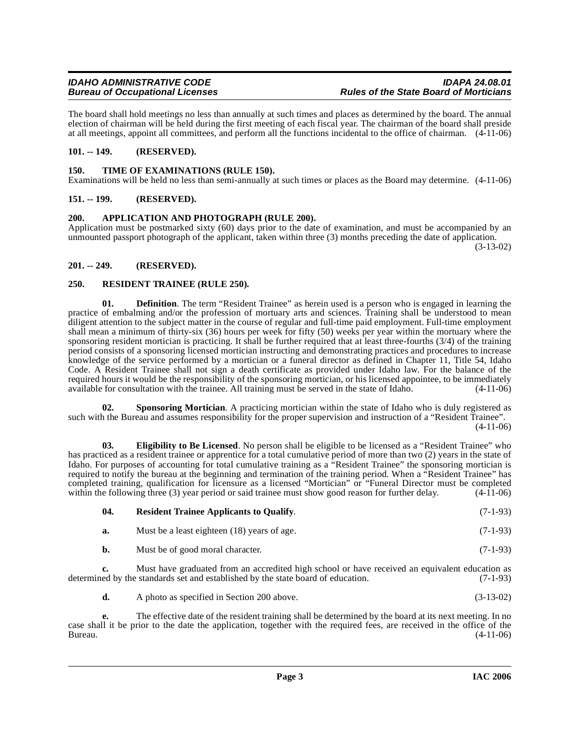## **Bureau of Occupational Licenses**

The board shall hold meetings no less than annually at such times and places as determined by the board. The annual election of chairman will be held during the first meeting of each fiscal year. The chairman of the board shall preside at all meetings, appoint all committees, and perform all the functions incidental to the office of chairman. (4-11-06)

### <span id="page-2-0"></span>**101. -- 149. (RESERVED).**

### <span id="page-2-11"></span><span id="page-2-1"></span>**150. TIME OF EXAMINATIONS (RULE 150).**

Examinations will be held no less than semi-annually at such times or places as the Board may determine. (4-11-06)

### <span id="page-2-2"></span>**151. -- 199. (RESERVED).**

### <span id="page-2-6"></span><span id="page-2-3"></span>**200. APPLICATION AND PHOTOGRAPH (RULE 200).**

Application must be postmarked sixty (60) days prior to the date of examination, and must be accompanied by an unmounted passport photograph of the applicant, taken within three (3) months preceding the date of application.

(3-13-02)

### <span id="page-2-4"></span>**201. -- 249. (RESERVED).**

### <span id="page-2-8"></span><span id="page-2-5"></span>**250. RESIDENT TRAINEE (RULE 250).**

**01. Definition**. The term "Resident Trainee" as herein used is a person who is engaged in learning the practice of embalming and/or the profession of mortuary arts and sciences. Training shall be understood to mean diligent attention to the subject matter in the course of regular and full-time paid employment. Full-time employment shall mean a minimum of thirty-six (36) hours per week for fifty (50) weeks per year within the mortuary where the sponsoring resident mortician is practicing. It shall be further required that at least three-fourths (3/4) of the training period consists of a sponsoring licensed mortician instructing and demonstrating practices and procedures to increase knowledge of the service performed by a mortician or a funeral director as defined in Chapter 11, Title 54, Idaho Code. A Resident Trainee shall not sign a death certificate as provided under Idaho law. For the balance of the required hours it would be the responsibility of the sponsoring mortician, or his licensed appointee, to be immediately available for consultation with the trainee. All training must be served in the state of Idaho. (4-11-06)

<span id="page-2-10"></span>**02.** Sponsoring Mortician. A practicing mortician within the state of Idaho who is duly registered as such with the Bureau and assumes responsibility for the proper supervision and instruction of a "Resident Trainee".  $(4-11-06)$ 

<span id="page-2-7"></span>**03. Eligibility to Be Licensed**. No person shall be eligible to be licensed as a "Resident Trainee" who has practiced as a resident trainee or apprentice for a total cumulative period of more than two (2) years in the state of Idaho. For purposes of accounting for total cumulative training as a "Resident Trainee" the sponsoring mortician is required to notify the bureau at the beginning and termination of the training period. When a "Resident Trainee" has completed training, qualification for licensure as a licensed "Mortician" or "Funeral Director must be completed within the following three (3) year period or said trainee must show good reason for further delay.  $(4-11-06)$ 

<span id="page-2-9"></span>

| 04. | <b>Resident Trainee Applicants to Qualify.</b> | $(7-1-93)$ |
|-----|------------------------------------------------|------------|
| а.  | Must be a least eighteen (18) years of age.    | $(7-1-93)$ |
| b.  | Must be of good moral character.               | $(7-1-93)$ |

**c.** Must have graduated from an accredited high school or have received an equivalent education as ed by the standards set and established by the state board of education. (7-1-93) determined by the standards set and established by the state board of education.

**d.** A photo as specified in Section 200 above. (3-13-02)

**e.** The effective date of the resident training shall be determined by the board at its next meeting. In no case shall it be prior to the date the application, together with the required fees, are received in the office of the Bureau. (4-11-06)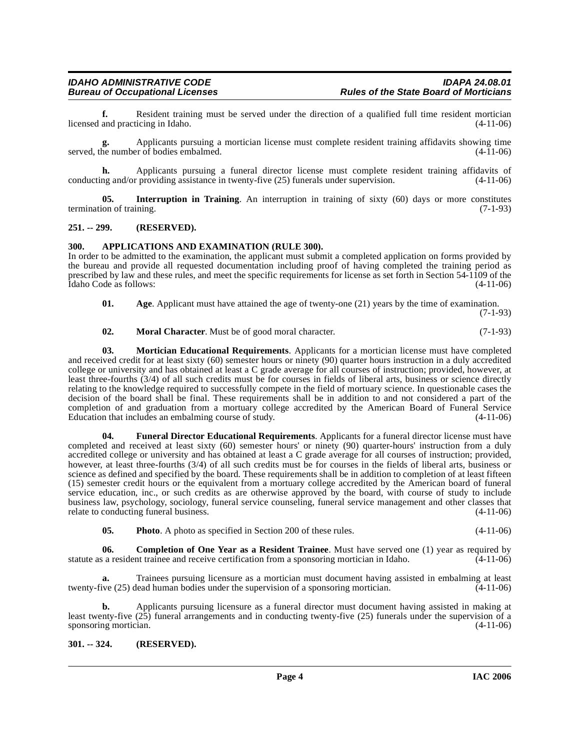**f.** Resident training must be served under the direction of a qualified full time resident mortician and practicing in Idaho. (4-11-06) licensed and practicing in Idaho.

**g.** Applicants pursuing a mortician license must complete resident training affidavits showing time served, the number of bodies embalmed.  $(4-11-06)$ 

**h.** Applicants pursuing a funeral director license must complete resident training affidavits of conducting and/or providing assistance in twenty-five (25) funerals under supervision. (4-11-06)

<span id="page-3-7"></span>**05. Interruption in Training**. An interruption in training of sixty (60) days or more constitutes termination of training. (7-1-93)

### <span id="page-3-0"></span>**251. -- 299. (RESERVED).**

### <span id="page-3-4"></span><span id="page-3-1"></span>**300. APPLICATIONS AND EXAMINATION (RULE 300).**

In order to be admitted to the examination, the applicant must submit a completed application on forms provided by the bureau and provide all requested documentation including proof of having completed the training period as prescribed by law and these rules, and meet the specific requirements for license as set forth in Section 54-1109 of the Idaho Code as follows: (4-11-06)

<span id="page-3-3"></span>**01.** Age. Applicant must have attained the age of twenty-one (21) years by the time of examination. (7-1-93)

<span id="page-3-8"></span>**02. Moral Character**. Must be of good moral character. (7-1-93)

<span id="page-3-9"></span>**03. Mortician Educational Requirements**. Applicants for a mortician license must have completed

and received credit for at least sixty (60) semester hours or ninety (90) quarter hours instruction in a duly accredited college or university and has obtained at least a C grade average for all courses of instruction; provided, however, at least three-fourths (3/4) of all such credits must be for courses in fields of liberal arts, business or science directly relating to the knowledge required to successfully compete in the field of mortuary science. In questionable cases the decision of the board shall be final. These requirements shall be in addition to and not considered a part of the completion of and graduation from a mortuary college accredited by the American Board of Funeral Service Education that includes an embalming course of study. (4-11-06)

<span id="page-3-6"></span>**04. Funeral Director Educational Requirements**. Applicants for a funeral director license must have completed and received at least sixty (60) semester hours' or ninety (90) quarter-hours' instruction from a duly accredited college or university and has obtained at least a C grade average for all courses of instruction; provided, however, at least three-fourths (3/4) of all such credits must be for courses in the fields of liberal arts, business or science as defined and specified by the board. These requirements shall be in addition to completion of at least fifteen (15) semester credit hours or the equivalent from a mortuary college accredited by the American board of funeral service education, inc., or such credits as are otherwise approved by the board, with course of study to include business law, psychology, sociology, funeral service counseling, funeral service management and other classes that relate to conducting funeral business. (4-11-06)

<span id="page-3-10"></span><span id="page-3-5"></span>**05. Photo**. A photo as specified in Section 200 of these rules. (4-11-06)

**06. Completion of One Year as a Resident Trainee**. Must have served one (1) year as required by statute as a resident trainee and receive certification from a sponsoring mortician in Idaho. (4-11-06)

**a.** Trainees pursuing licensure as a mortician must document having assisted in embalming at least ive (25) dead human bodies under the supervision of a sponsoring mortician. (4-11-06) twenty-five (25) dead human bodies under the supervision of a sponsoring mortician.

**b.** Applicants pursuing licensure as a funeral director must document having assisted in making at least twenty-five  $(25)$  funeral arrangements and in conducting twenty-five  $(25)$  funerals under the supervision of a sponsoring mortician.  $(4-11-06)$ sponsoring mortician.

### <span id="page-3-2"></span>**301. -- 324. (RESERVED).**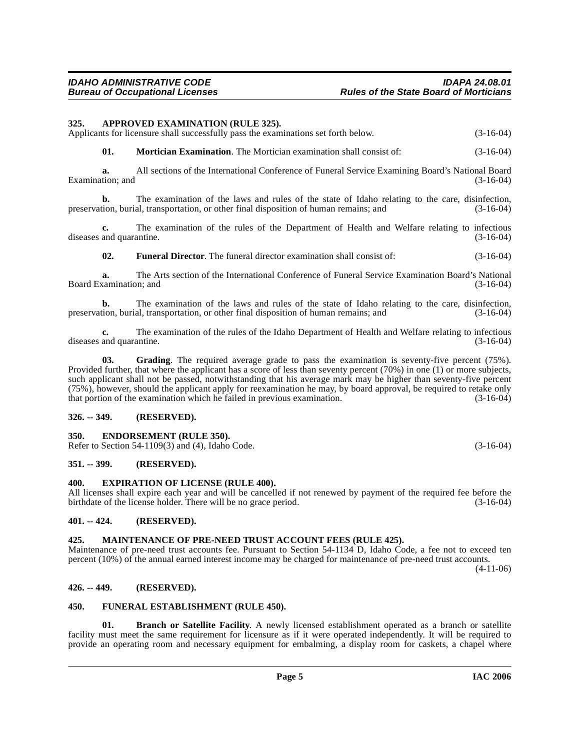<span id="page-4-9"></span><span id="page-4-0"></span>**325. APPROVED EXAMINATION (RULE 325).**

**a.** All sections of the International Conference of Funeral Service Examining Board's National Board (3-16-04) Examination; and

**b.** The examination of the laws and rules of the state of Idaho relating to the care, disinfection, tion, burial, transportation, or other final disposition of human remains; and (3-16-04) preservation, burial, transportation, or other final disposition of human remains; and

**c.** The examination of the rules of the Department of Health and Welfare relating to infectious diseases and quarantine. (3-16-04)

**02. Funeral Director**. The funeral director examination shall consist of: (3-16-04)

**a.** The Arts section of the International Conference of Funeral Service Examination Board's National Board Examination; and (3-16-04)

**b.** The examination of the laws and rules of the state of Idaho relating to the care, disinfection, tion, burial, transportation, or other final disposition of human remains; and (3-16-04) preservation, burial, transportation, or other final disposition of human remains; and

**c.** The examination of the rules of the Idaho Department of Health and Welfare relating to infectious and quarantine. (3-16-04) diseases and quarantine.

<span id="page-4-14"></span>**03. Grading**. The required average grade to pass the examination is seventy-five percent (75%). Provided further, that where the applicant has a score of less than seventy percent (70%) in one (1) or more subjects, such applicant shall not be passed, notwithstanding that his average mark may be higher than seventy-five percent (75%), however, should the applicant apply for reexamination he may, by board approval, be required to retake only that portion of the examination which he failed in previous examination.

### <span id="page-4-1"></span>**326. -- 349. (RESERVED).**

### <span id="page-4-11"></span><span id="page-4-2"></span>**350. ENDORSEMENT (RULE 350).**

Refer to Section 54-1109(3) and (4), Idaho Code. (3-16-04)

### <span id="page-4-3"></span>**351. -- 399. (RESERVED).**

### <span id="page-4-12"></span><span id="page-4-4"></span>**400. EXPIRATION OF LICENSE (RULE 400).**

All licenses shall expire each year and will be cancelled if not renewed by payment of the required fee before the birthdate of the license holder. There will be no grace period. (3-16-04) birthdate of the license holder. There will be no grace period.

### <span id="page-4-5"></span>**401. -- 424. (RESERVED).**

### <span id="page-4-15"></span><span id="page-4-6"></span>**425. MAINTENANCE OF PRE-NEED TRUST ACCOUNT FEES (RULE 425).**

Maintenance of pre-need trust accounts fee. Pursuant to Section 54-1134 D, Idaho Code, a fee not to exceed ten percent (10%) of the annual earned interest income may be charged for maintenance of pre-need trust accounts. (4-11-06)

### <span id="page-4-7"></span>**426. -- 449. (RESERVED).**

### <span id="page-4-13"></span><span id="page-4-8"></span>**450. FUNERAL ESTABLISHMENT (RULE 450).**

<span id="page-4-10"></span>**01. Branch or Satellite Facility**. A newly licensed establishment operated as a branch or satellite facility must meet the same requirement for licensure as if it were operated independently. It will be required to provide an operating room and necessary equipment for embalming, a display room for caskets, a chapel where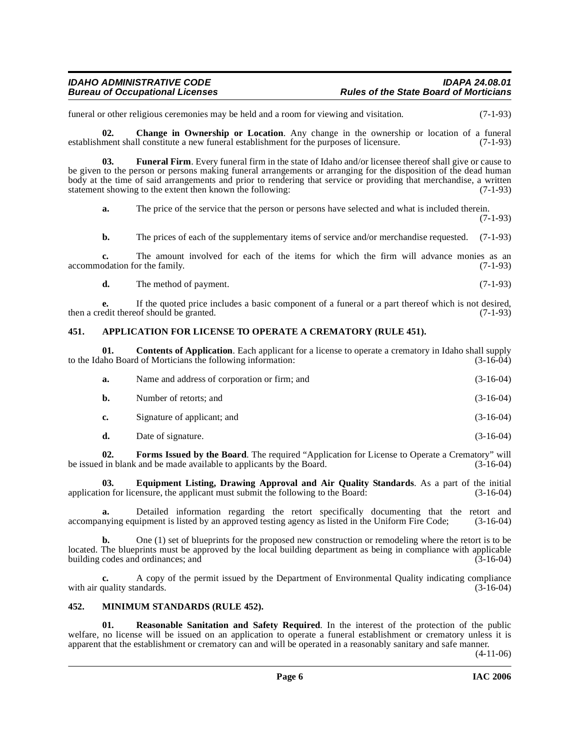funeral or other religious ceremonies may be held and a room for viewing and visitation. (7-1-93)

<span id="page-5-3"></span>**02. Change in Ownership or Location**. Any change in the ownership or location of a funeral ment shall constitute a new funeral establishment for the purposes of licensure. (7-1-93) establishment shall constitute a new funeral establishment for the purposes of licensure.

**03. Funeral Firm**. Every funeral firm in the state of Idaho and/or licensee thereof shall give or cause to be given to the person or persons making funeral arrangements or arranging for the disposition of the dead human body at the time of said arrangements and prior to rendering that service or providing that merchandise, a written statement showing to the extent then known the following: (7-1-93)

<span id="page-5-8"></span>**a.** The price of the service that the person or persons have selected and what is included therein.

(7-1-93)

**b.** The prices of each of the supplementary items of service and/or merchandise requested. (7-1-93)

**c.** The amount involved for each of the items for which the firm will advance monies as an odation for the family. (7-1-93) accommodation for the family.

**d.** The method of payment. (7-1-93)

**e.** If the quoted price includes a basic component of a funeral or a part thereof which is not desired, edit thereof should be granted. (7-1-93) then a credit thereof should be granted.

### <span id="page-5-2"></span><span id="page-5-0"></span>**451. APPLICATION FOR LICENSE TO OPERATE A CREMATORY (RULE 451).**

**01. Contents of Application**. Each applicant for a license to operate a crematory in Idaho shall supply aho Board of Morticians the following information: (3-16-04) to the Idaho Board of Morticians the following information:

<span id="page-5-4"></span>

| а. | Name and address of corporation or firm; and | $(3-16-04)$ |
|----|----------------------------------------------|-------------|
| b. | Number of retorts; and                       | $(3-16-04)$ |
| c. | Signature of applicant; and                  | $(3-16-04)$ |
| d. | Date of signature.                           | $(3-16-04)$ |

<span id="page-5-7"></span>**02. Forms Issued by the Board**. The required "Application for License to Operate a Crematory" will be issued in blank and be made available to applicants by the Board. (3-16-04)

<span id="page-5-6"></span>**03. Equipment Listing, Drawing Approval and Air Quality Standards**. As a part of the initial application for licensure, the applicant must submit the following to the Board: (3-16-04)

**a.** Detailed information regarding the retort specifically documenting that the retort and nying equipment is listed by an approved testing agency as listed in the Uniform Fire Code; (3-16-04) accompanying equipment is listed by an approved testing agency as listed in the Uniform Fire Code;

**b.** One (1) set of blueprints for the proposed new construction or remodeling where the retort is to be located. The blueprints must be approved by the local building department as being in compliance with applicable building codes and ordinances; and  $(3-16-04)$ 

**c.** A copy of the permit issued by the Department of Environmental Quality indicating compliance quality standards. (3-16-04) with air quality standards.

### <span id="page-5-5"></span><span id="page-5-1"></span>**452. MINIMUM STANDARDS (RULE 452).**

<span id="page-5-9"></span>**01. Reasonable Sanitation and Safety Required**. In the interest of the protection of the public welfare, no license will be issued on an application to operate a funeral establishment or crematory unless it is apparent that the establishment or crematory can and will be operated in a reasonably sanitary and safe manner.

(4-11-06)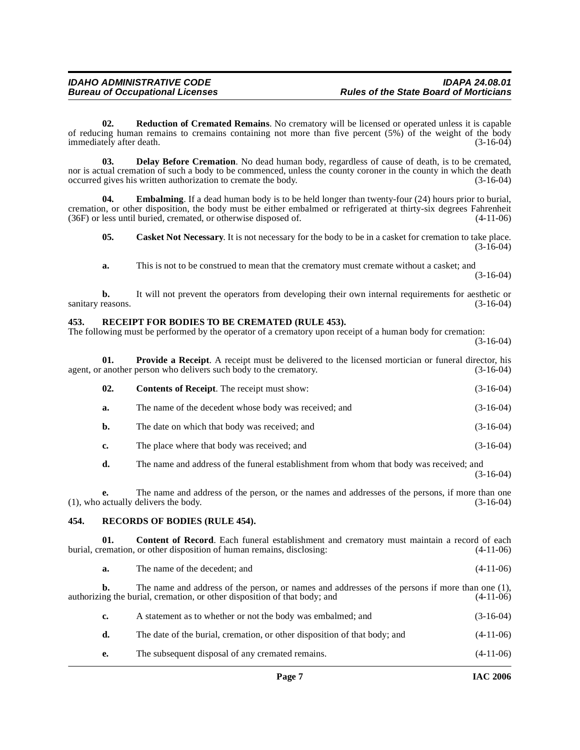<span id="page-6-9"></span>**02. Reduction of Cremated Remains**. No crematory will be licensed or operated unless it is capable of reducing human remains to cremains containing not more than five percent (5%) of the weight of the body<br>(3-16-04) (3-16-04) immediately after death.

<span id="page-6-4"></span>**03. Delay Before Cremation**. No dead human body, regardless of cause of death, is to be cremated, nor is actual cremation of such a body to be commenced, unless the county coroner in the county in which the death occurred gives his written authorization to cremate the body. (3-16-04) occurred gives his written authorization to cremate the body.

**Embalming**. If a dead human body is to be held longer than twenty-four (24) hours prior to burial, cremation, or other disposition, the body must be either embalmed or refrigerated at thirty-six degrees Fahrenheit (36F) or less until buried, cremated, or otherwise disposed of. (4-11-06) (36F) or less until buried, cremated, or otherwise disposed of.

<span id="page-6-5"></span><span id="page-6-2"></span>**05.** Casket Not Necessary. It is not necessary for the body to be in a casket for cremation to take place. (3-16-04)

**a.** This is not to be construed to mean that the crematory must cremate without a casket; and (3-16-04)

**b.** It will not prevent the operators from developing their own internal requirements for aesthetic or reasons. (3-16-04) sanitary reasons.

### <span id="page-6-7"></span><span id="page-6-0"></span>**453. RECEIPT FOR BODIES TO BE CREMATED (RULE 453).**

The following must be performed by the operator of a crematory upon receipt of a human body for cremation: (3-16-04)

**01. Provide a Receipt**. A receipt must be delivered to the licensed mortician or funeral director, his another person who delivers such body to the crematory. (3-16-04) agent, or another person who delivers such body to the crematory.

<span id="page-6-6"></span>

| 02. | <b>Contents of Receipt.</b> The receipt must show:    | $(3-16-04)$ |
|-----|-------------------------------------------------------|-------------|
| а.  | The name of the decedent whose body was received; and | $(3-16-04)$ |
| b.  | The date on which that body was received; and         | $(3-16-04)$ |
| c.  | The place where that body was received; and           | $(3-16-04)$ |

**d.** The name and address of the funeral establishment from whom that body was received; and

**e.** The name and address of the person, or the names and addresses of the persons, if more than one actually delivers the body. (3-16-04)  $(1)$ , who actually delivers the body.

### <span id="page-6-8"></span><span id="page-6-1"></span>**454. RECORDS OF BODIES (RULE 454).**

**01. Content of Record**. Each funeral establishment and crematory must maintain a record of each burial, cremation, or other disposition of human remains, disclosing: (4-11-06)

<span id="page-6-3"></span>

|  | The name of the decedent; and | $(4-11-06)$ |
|--|-------------------------------|-------------|
|--|-------------------------------|-------------|

**b.** The name and address of the person, or names and addresses of the persons if more than one (1), authorizing the burial, cremation, or other disposition of that body; and (4-11-06) **c.** A statement as to whether or not the body was embalmed; and (3-16-04) **d.** The date of the burial, cremation, or other disposition of that body; and  $(4-11-06)$ 

**e.** The subsequent disposal of any cremated remains. (4-11-06)

(3-16-04)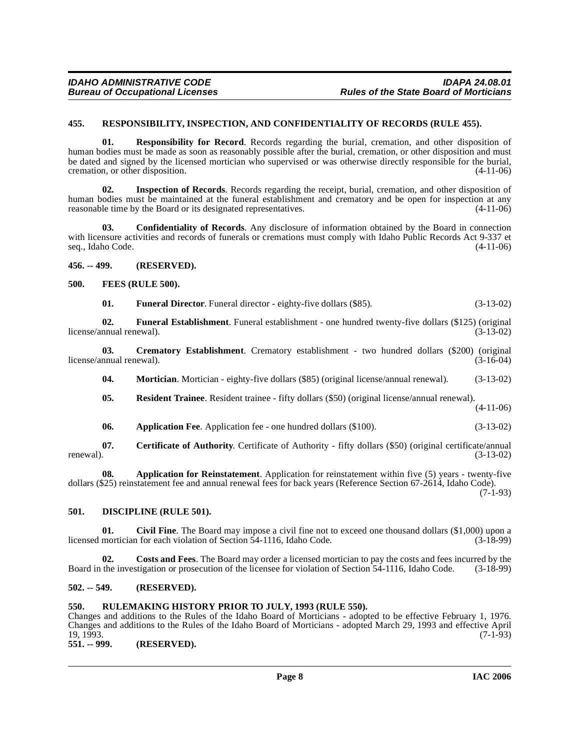### <span id="page-7-17"></span><span id="page-7-0"></span>**455. RESPONSIBILITY, INSPECTION, AND CONFIDENTIALITY OF RECORDS (RULE 455).**

**01. Responsibility for Record**. Records regarding the burial, cremation, and other disposition of human bodies must be made as soon as reasonably possible after the burial, cremation, or other disposition and must be dated and signed by the licensed mortician who supervised or was otherwise directly responsible for the burial, cremation, or other disposition. (4-11-06) cremation, or other disposition.

**02. Inspection of Records**. Records regarding the receipt, burial, cremation, and other disposition of human bodies must be maintained at the funeral establishment and crematory and be open for inspection at any reasonable time by the Board or its designated representatives. (4-11-06)

**03. Confidentiality of Records**. Any disclosure of information obtained by the Board in connection with licensure activities and records of funerals or cremations must comply with Idaho Public Records Act 9-337 et seq., Idaho Code. (4-11-06)

<span id="page-7-1"></span>**456. -- 499. (RESERVED).**

### <span id="page-7-2"></span>**500. FEES (RULE 500).**

<span id="page-7-13"></span><span id="page-7-12"></span><span id="page-7-11"></span>

| 01. | <b>Funeral Director.</b> Funeral director - eighty-five dollars (\$85). | $(3-13-02)$ |
|-----|-------------------------------------------------------------------------|-------------|
|-----|-------------------------------------------------------------------------|-------------|

**02.** Funeral Establishment. Funeral establishment - one hundred twenty-five dollars (\$125) (original nnual renewal). (3-13-02) license/annual renewal).

**03.** Crematory Establishment. Crematory establishment - two hundred dollars (\$200) (original nnual renewal). (3-16-04) license/annual renewal).

<span id="page-7-14"></span><span id="page-7-9"></span>**04. Mortician.** Mortician - eighty-five dollars (\$85) (original license/annual renewal). (3-13-02)

<span id="page-7-16"></span>**05. Resident Trainee**. Resident trainee - fifty dollars (\$50) (original license/annual renewal). (4-11-06)

<span id="page-7-15"></span><span id="page-7-7"></span>**06. Application Fee**. Application fee - one hundred dollars (\$100). (3-13-02)

**07. Certificate of Authority**. Certificate of Authority - fifty dollars (\$50) (original certificate/annual (3-13-02) renewal).  $(3-13-02)$ 

**08. Application for Reinstatement**. Application for reinstatement within five (5) years - twenty-five dollars (\$25) reinstatement fee and annual renewal fees for back years (Reference Section 67-2614, Idaho Code).  $(7-1-93)$ 

### <span id="page-7-10"></span><span id="page-7-3"></span>**501. DISCIPLINE (RULE 501).**

<span id="page-7-8"></span>**01. Civil Fine**. The Board may impose a civil fine not to exceed one thousand dollars (\$1,000) upon a licensed mortician for each violation of Section 54-1116, Idaho Code.

**02. Costs and Fees**. The Board may order a licensed mortician to pay the costs and fees incurred by the Board in the investigation or prosecution of the licensee for violation of Section 54-1116, Idaho Code. (3-18-99)

### <span id="page-7-4"></span>**502. -- 549. (RESERVED).**

### <span id="page-7-5"></span>**550. RULEMAKING HISTORY PRIOR TO JULY, 1993 (RULE 550).**

Changes and additions to the Rules of the Idaho Board of Morticians - adopted to be effective February 1, 1976. Changes and additions to the Rules of the Idaho Board of Morticians - adopted March 29, 1993 and effective April 19, 1993. (7-1-93)

<span id="page-7-6"></span>**551. -- 999. (RESERVED).**